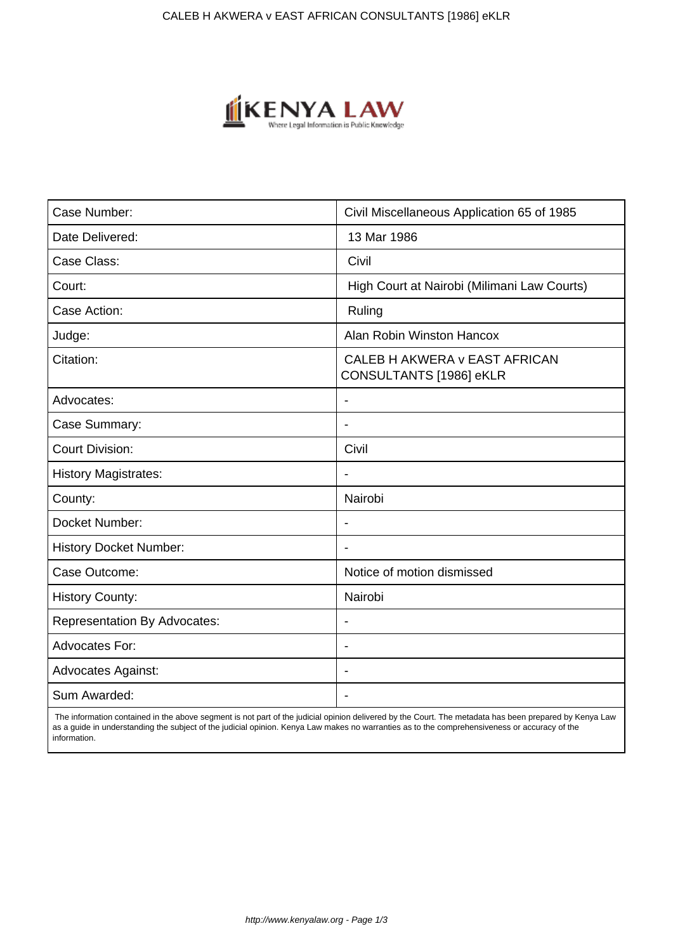

| Case Number:                        | Civil Miscellaneous Application 65 of 1985               |
|-------------------------------------|----------------------------------------------------------|
| Date Delivered:                     | 13 Mar 1986                                              |
| Case Class:                         | Civil                                                    |
| Court:                              | High Court at Nairobi (Milimani Law Courts)              |
| Case Action:                        | Ruling                                                   |
| Judge:                              | Alan Robin Winston Hancox                                |
| Citation:                           | CALEB H AKWERA v EAST AFRICAN<br>CONSULTANTS [1986] eKLR |
| Advocates:                          | $\blacksquare$                                           |
| Case Summary:                       |                                                          |
| <b>Court Division:</b>              | Civil                                                    |
| <b>History Magistrates:</b>         | $\blacksquare$                                           |
| County:                             | Nairobi                                                  |
| Docket Number:                      |                                                          |
| <b>History Docket Number:</b>       |                                                          |
| Case Outcome:                       | Notice of motion dismissed                               |
| <b>History County:</b>              | Nairobi                                                  |
| <b>Representation By Advocates:</b> | $\blacksquare$                                           |
| <b>Advocates For:</b>               | $\overline{\phantom{a}}$                                 |
| <b>Advocates Against:</b>           |                                                          |
| Sum Awarded:                        |                                                          |

 The information contained in the above segment is not part of the judicial opinion delivered by the Court. The metadata has been prepared by Kenya Law as a guide in understanding the subject of the judicial opinion. Kenya Law makes no warranties as to the comprehensiveness or accuracy of the information.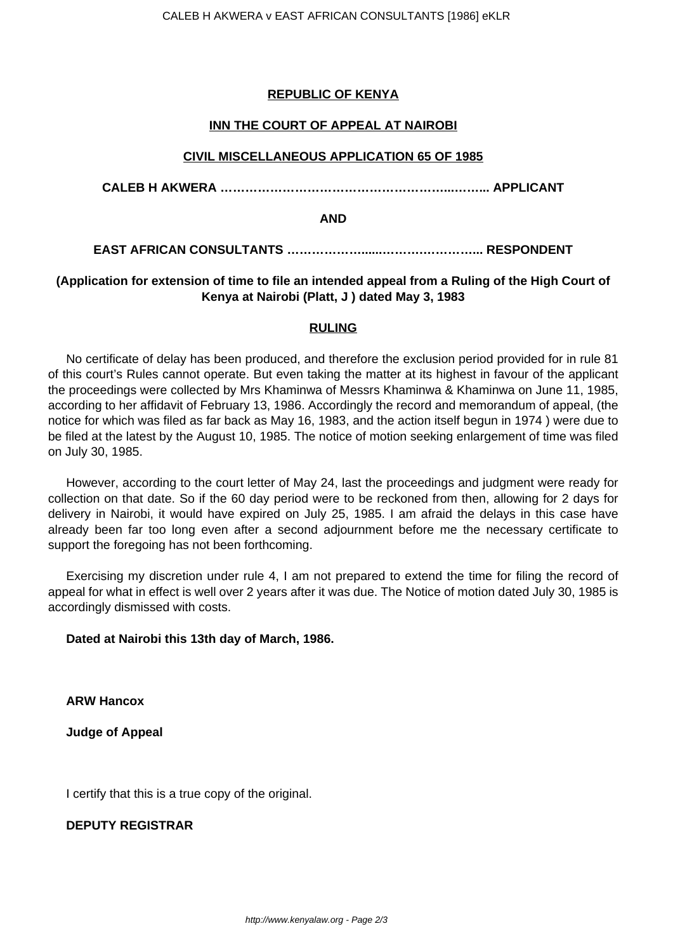## **REPUBLIC OF KENYA**

## **INN THE COURT OF APPEAL AT NAIROBI**

### **CIVIL MISCELLANEOUS APPLICATION 65 OF 1985**

### **CALEB H AKWERA ………………………………………………...……... APPLICANT**

#### **AND**

# **EAST AFRICAN CONSULTANTS ………………......……….…………... RESPONDENT**

## **(Application for extension of time to file an intended appeal from a Ruling of the High Court of Kenya at Nairobi (Platt, J ) dated May 3, 1983**

### **RULING**

No certificate of delay has been produced, and therefore the exclusion period provided for in rule 81 of this court's Rules cannot operate. But even taking the matter at its highest in favour of the applicant the proceedings were collected by Mrs Khaminwa of Messrs Khaminwa & Khaminwa on June 11, 1985, according to her affidavit of February 13, 1986. Accordingly the record and memorandum of appeal, (the notice for which was filed as far back as May 16, 1983, and the action itself begun in 1974 ) were due to be filed at the latest by the August 10, 1985. The notice of motion seeking enlargement of time was filed on July 30, 1985.

However, according to the court letter of May 24, last the proceedings and judgment were ready for collection on that date. So if the 60 day period were to be reckoned from then, allowing for 2 days for delivery in Nairobi, it would have expired on July 25, 1985. I am afraid the delays in this case have already been far too long even after a second adjournment before me the necessary certificate to support the foregoing has not been forthcoming.

Exercising my discretion under rule 4, I am not prepared to extend the time for filing the record of appeal for what in effect is well over 2 years after it was due. The Notice of motion dated July 30, 1985 is accordingly dismissed with costs.

### **Dated at Nairobi this 13th day of March, 1986.**

**ARW Hancox**

**Judge of Appeal**

I certify that this is a true copy of the original.

# **DEPUTY REGISTRAR**